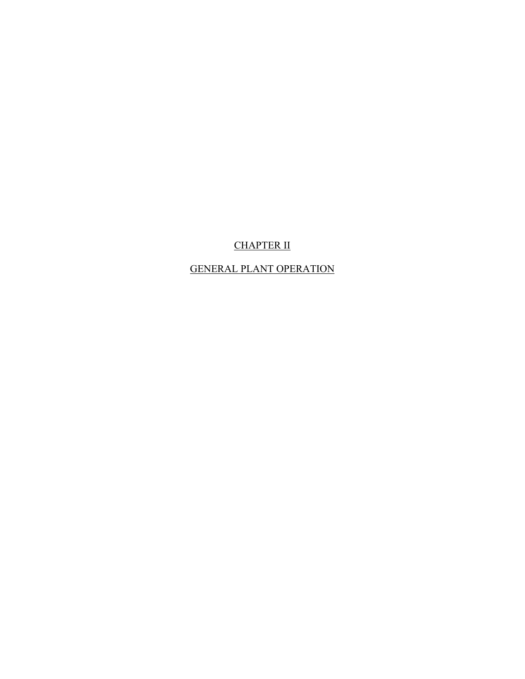# CHAPTER II

# GENERAL PLANT OPERATION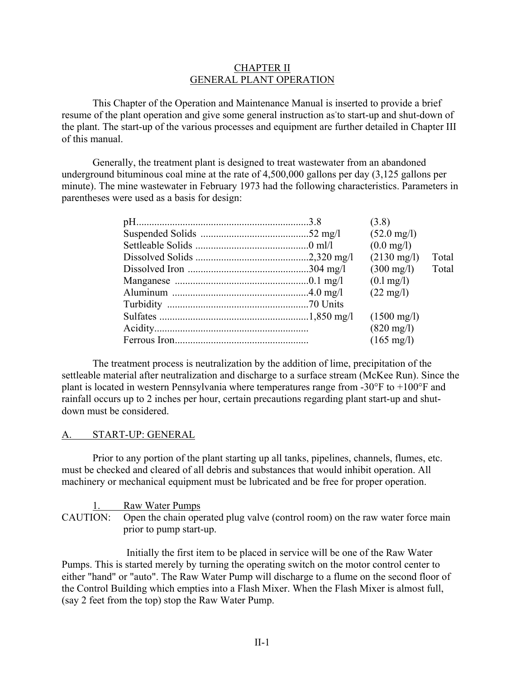#### CHAPTER II GENERAL PLANT OPERATION

This Chapter of the Operation and Maintenance Manual is inserted to provide a brief resume of the plant operation and give some general instruction as to start-up and shut-down of the plant. The start-up of the various processes and equipment are further detailed in Chapter III of this manual.

Generally, the treatment plant is designed to treat wastewater from an abandoned underground bituminous coal mine at the rate of 4,500,000 gallons per day (3,125 gallons per minute). The mine wastewater in February 1973 had the following characteristics. Parameters in parentheses were used as a basis for design:

|  | (3.8)                 |       |
|--|-----------------------|-------|
|  | $(52.0 \text{ mg/l})$ |       |
|  | $(0.0 \text{ mg/l})$  |       |
|  | $(2130 \text{ mg/l})$ | Total |
|  | $(300 \text{ mg/l})$  | Total |
|  | $(0.1 \,\text{mg/l})$ |       |
|  | $(22 \text{ mg/l})$   |       |
|  |                       |       |
|  | $(1500 \text{ mg/l})$ |       |
|  | $(820 \text{ mg/l})$  |       |
|  | $(165 \text{ mg/l})$  |       |

The treatment process is neutralization by the addition of lime, precipitation of the settleable material after neutralization and discharge to a surface stream (McKee Run). Since the plant is located in western Pennsylvania where temperatures range from -30°F to +100°F and rainfall occurs up to 2 inches per hour, certain precautions regarding plant start-up and shutdown must be considered.

#### A. START-UP: GENERAL

Prior to any portion of the plant starting up all tanks, pipelines, channels, flumes, etc. must be checked and cleared of all debris and substances that would inhibit operation. All machinery or mechanical equipment must be lubricated and be free for proper operation.

1. Raw Water Pumps CAUTION: Open the chain operated plug valve (control room) on the raw water force main prior to pump start-up.

Initially the first item to be placed in service will be one of the Raw Water Pumps. This is started merely by turning the operating switch on the motor control center to either "hand" or "auto". The Raw Water Pump will discharge to a flume on the second floor of the Control Building which empties into a Flash Mixer. When the Flash Mixer is almost full, (say 2 feet from the top) stop the Raw Water Pump.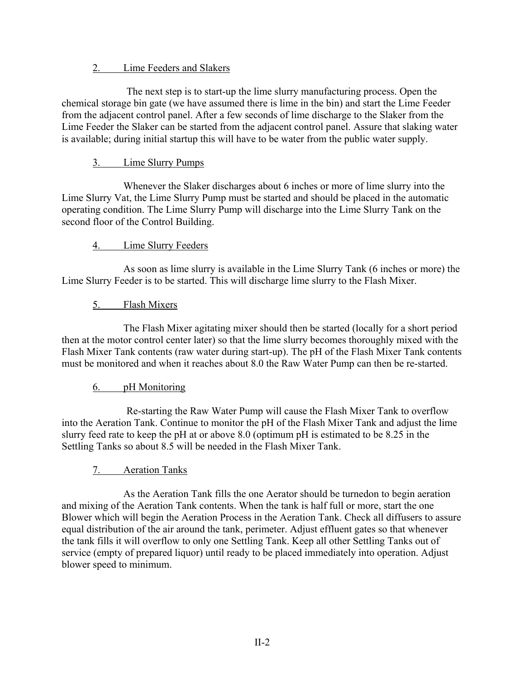## 2. Lime Feeders and Slakers

The next step is to start-up the lime slurry manufacturing process. Open the chemical storage bin gate (we have assumed there is lime in the bin) and start the Lime Feeder from the adjacent control panel. After a few seconds of lime discharge to the Slaker from the Lime Feeder the Slaker can be started from the adjacent control panel. Assure that slaking water is available; during initial startup this will have to be water from the public water supply.

# 3. Lime Slurry Pumps

Whenever the Slaker discharges about 6 inches or more of lime slurry into the Lime Slurry Vat, the Lime Slurry Pump must be started and should be placed in the automatic operating condition. The Lime Slurry Pump will discharge into the Lime Slurry Tank on the second floor of the Control Building.

## 4. Lime Slurry Feeders

As soon as lime slurry is available in the Lime Slurry Tank (6 inches or more) the Lime Slurry Feeder is to be started. This will discharge lime slurry to the Flash Mixer.

# 5. Flash Mixers

The Flash Mixer agitating mixer should then be started (locally for a short period then at the motor control center later) so that the lime slurry becomes thoroughly mixed with the Flash Mixer Tank contents (raw water during start-up). The pH of the Flash Mixer Tank contents must be monitored and when it reaches about 8.0 the Raw Water Pump can then be re-started.

## 6. pH Monitoring

Re-starting the Raw Water Pump will cause the Flash Mixer Tank to overflow into the Aeration Tank. Continue to monitor the pH of the Flash Mixer Tank and adjust the lime slurry feed rate to keep the pH at or above 8.0 (optimum pH is estimated to be 8.25 in the Settling Tanks so about 8.5 will be needed in the Flash Mixer Tank.

## 7. Aeration Tanks

As the Aeration Tank fills the one Aerator should be turnedon to begin aeration and mixing of the Aeration Tank contents. When the tank is half full or more, start the one Blower which will begin the Aeration Process in the Aeration Tank. Check all diffusers to assure equal distribution of the air around the tank, perimeter. Adjust effluent gates so that whenever the tank fills it will overflow to only one Settling Tank. Keep all other Settling Tanks out of service (empty of prepared liquor) until ready to be placed immediately into operation. Adjust blower speed to minimum.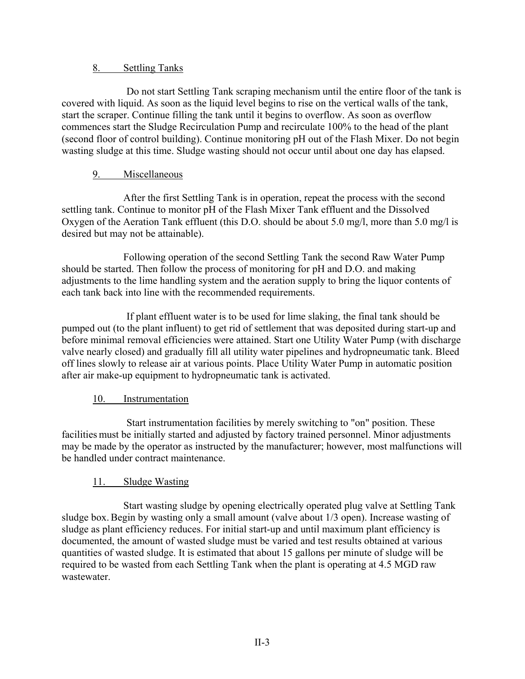### 8. Settling Tanks

Do not start Settling Tank scraping mechanism until the entire floor of the tank is covered with liquid. As soon as the liquid level begins to rise on the vertical walls of the tank, start the scraper. Continue filling the tank until it begins to overflow. As soon as overflow commences start the Sludge Recirculation Pump and recirculate 100% to the head of the plant (second floor of control building). Continue monitoring pH out of the Flash Mixer. Do not begin wasting sludge at this time. Sludge wasting should not occur until about one day has elapsed.

## 9. Miscellaneous

After the first Settling Tank is in operation, repeat the process with the second settling tank. Continue to monitor pH of the Flash Mixer Tank effluent and the Dissolved Oxygen of the Aeration Tank effluent (this D.O. should be about 5.0 mg/l, more than 5.0 mg/l is desired but may not be attainable).

Following operation of the second Settling Tank the second Raw Water Pump should be started. Then follow the process of monitoring for pH and D.O. and making adjustments to the lime handling system and the aeration supply to bring the liquor contents of each tank back into line with the recommended requirements.

If plant effluent water is to be used for lime slaking, the final tank should be pumped out (to the plant influent) to get rid of settlement that was deposited during start-up and before minimal removal efficiencies were attained. Start one Utility Water Pump (with discharge valve nearly closed) and gradually fill all utility water pipelines and hydropneumatic tank. Bleed off lines slowly to release air at various points. Place Utility Water Pump in automatic position after air make-up equipment to hydropneumatic tank is activated.

## 10. Instrumentation

Start instrumentation facilities by merely switching to "on" position. These facilities must be initially started and adjusted by factory trained personnel. Minor adjustments may be made by the operator as instructed by the manufacturer; however, most malfunctions will be handled under contract maintenance.

## 11. Sludge Wasting

Start wasting sludge by opening electrically operated plug valve at Settling Tank sludge box. Begin by wasting only a small amount (valve about 1/3 open). Increase wasting of sludge as plant efficiency reduces. For initial start-up and until maximum plant efficiency is documented, the amount of wasted sludge must be varied and test results obtained at various quantities of wasted sludge. It is estimated that about 15 gallons per minute of sludge will be required to be wasted from each Settling Tank when the plant is operating at 4.5 MGD raw wastewater.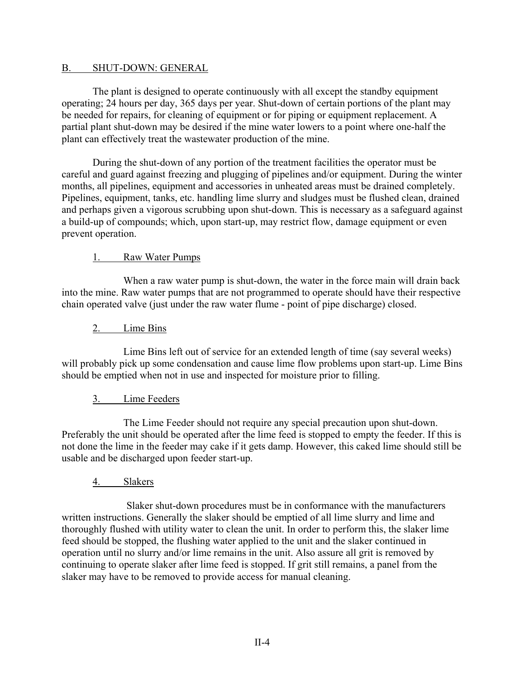#### B. SHUT-DOWN: GENERAL

The plant is designed to operate continuously with all except the standby equipment operating; 24 hours per day, 365 days per year. Shut-down of certain portions of the plant may be needed for repairs, for cleaning of equipment or for piping or equipment replacement. A partial plant shut-down may be desired if the mine water lowers to a point where one-half the plant can effectively treat the wastewater production of the mine.

During the shut-down of any portion of the treatment facilities the operator must be careful and guard against freezing and plugging of pipelines and/or equipment. During the winter months, all pipelines, equipment and accessories in unheated areas must be drained completely. Pipelines, equipment, tanks, etc. handling lime slurry and sludges must be flushed clean, drained and perhaps given a vigorous scrubbing upon shut-down. This is necessary as a safeguard against a build-up of compounds; which, upon start-up, may restrict flow, damage equipment or even prevent operation.

#### 1. Raw Water Pumps

When a raw water pump is shut-down, the water in the force main will drain back into the mine. Raw water pumps that are not programmed to operate should have their respective chain operated valve (just under the raw water flume - point of pipe discharge) closed.

## 2. Lime Bins

Lime Bins left out of service for an extended length of time (say several weeks) will probably pick up some condensation and cause lime flow problems upon start-up. Lime Bins should be emptied when not in use and inspected for moisture prior to filling.

#### 3. Lime Feeders

The Lime Feeder should not require any special precaution upon shut-down. Preferably the unit should be operated after the lime feed is stopped to empty the feeder. If this is not done the lime in the feeder may cake if it gets damp. However, this caked lime should still be usable and be discharged upon feeder start-up.

## 4. Slakers

Slaker shut-down procedures must be in conformance with the manufacturers written instructions. Generally the slaker should be emptied of all lime slurry and lime and thoroughly flushed with utility water to clean the unit. In order to perform this, the slaker lime feed should be stopped, the flushing water applied to the unit and the slaker continued in operation until no slurry and/or lime remains in the unit. Also assure all grit is removed by continuing to operate slaker after lime feed is stopped. If grit still remains, a panel from the slaker may have to be removed to provide access for manual cleaning.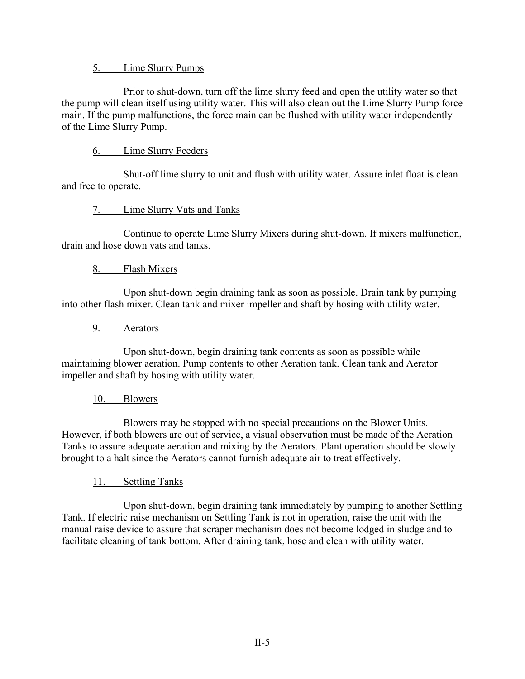#### 5. Lime Slurry Pumps

Prior to shut-down, turn off the lime slurry feed and open the utility water so that the pump will clean itself using utility water. This will also clean out the Lime Slurry Pump force main. If the pump malfunctions, the force main can be flushed with utility water independently of the Lime Slurry Pump.

## 6. Lime Slurry Feeders

Shut-off lime slurry to unit and flush with utility water. Assure inlet float is clean and free to operate.

## 7. Lime Slurry Vats and Tanks

Continue to operate Lime Slurry Mixers during shut-down. If mixers malfunction, drain and hose down vats and tanks.

## 8. Flash Mixers

Upon shut-down begin draining tank as soon as possible. Drain tank by pumping into other flash mixer. Clean tank and mixer impeller and shaft by hosing with utility water.

## 9. Aerators

Upon shut-down, begin draining tank contents as soon as possible while maintaining blower aeration. Pump contents to other Aeration tank. Clean tank and Aerator impeller and shaft by hosing with utility water.

## 10. Blowers

Blowers may be stopped with no special precautions on the Blower Units. However, if both blowers are out of service, a visual observation must be made of the Aeration Tanks to assure adequate aeration and mixing by the Aerators. Plant operation should be slowly brought to a halt since the Aerators cannot furnish adequate air to treat effectively.

## 11. Settling Tanks

Upon shut-down, begin draining tank immediately by pumping to another Settling Tank. If electric raise mechanism on Settling Tank is not in operation, raise the unit with the manual raise device to assure that scraper mechanism does not become lodged in sludge and to facilitate cleaning of tank bottom. After draining tank, hose and clean with utility water.